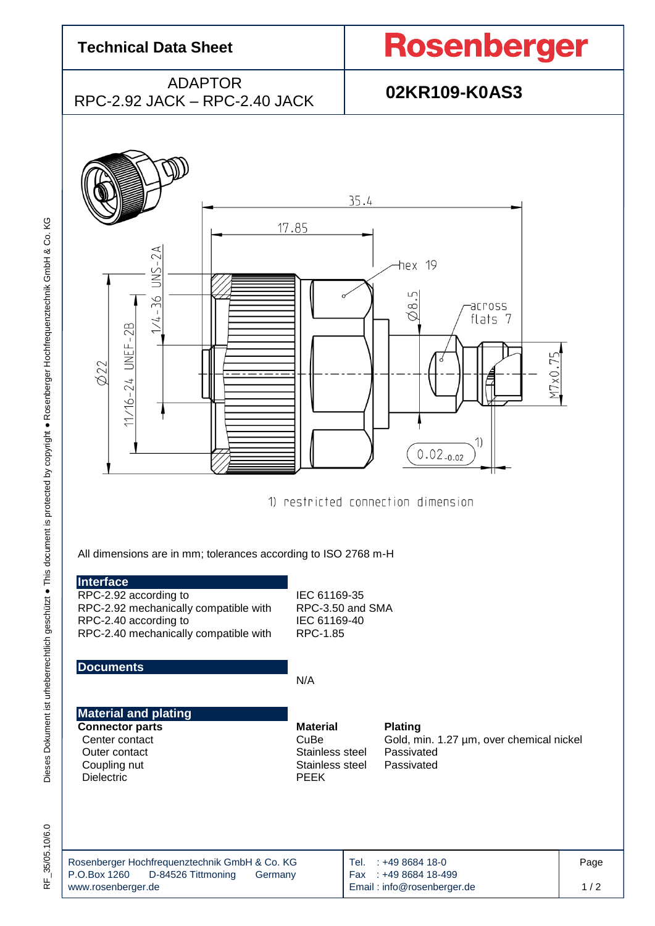

35/05.10/6.0 RF\_35/05.10/6.0 눈